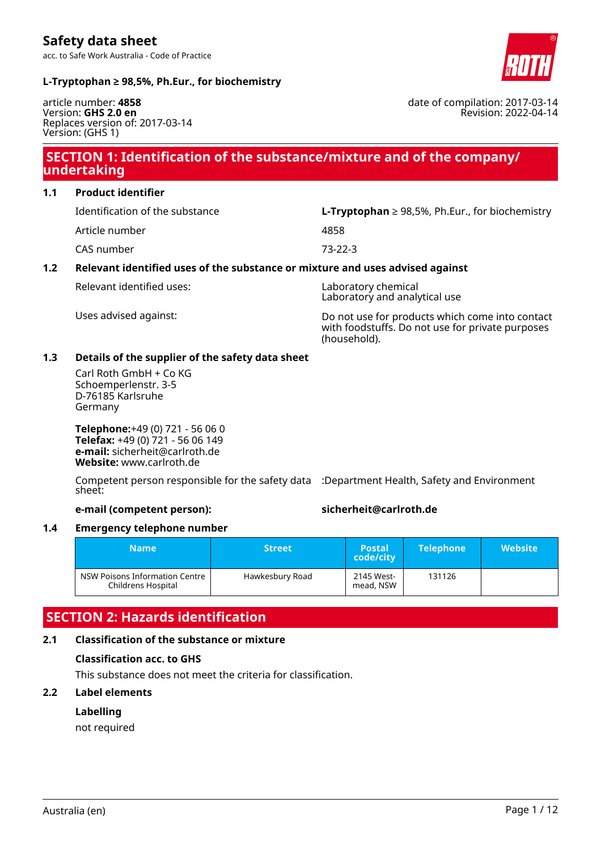

date of compilation: 2017-03-14

Revision: 2022-04-14

### **L-Tryptophan ≥ 98,5%, Ph.Eur., for biochemistry**

article number: **4858** Version: **GHS 2.0 en** Replaces version of: 2017-03-14 Version: (GHS 1)

### **SECTION 1: Identification of the substance/mixture and of the company/ undertaking**

**1.1 Product identifier**

Article number 4858

Identification of the substance **L-Tryptophan** ≥ 98,5%, Ph.Eur., for biochemistry

CAS number 73-22-3

### **1.2 Relevant identified uses of the substance or mixture and uses advised against**

Relevant identified uses: Laboratory chemical

Laboratory and analytical use

Uses advised against: Do not use for products which come into contact with foodstuffs. Do not use for private purposes (household).

### **1.3 Details of the supplier of the safety data sheet**

Carl Roth GmbH + Co KG Schoemperlenstr. 3-5 D-76185 Karlsruhe Germany

**Telephone:**+49 (0) 721 - 56 06 0 **Telefax:** +49 (0) 721 - 56 06 149 **e-mail:** sicherheit@carlroth.de **Website:** www.carlroth.de

Competent person responsible for the safety data :Department Health, Safety and Environment sheet:

**e-mail (competent person): sicherheit@carlroth.de**

### **1.4 Emergency telephone number**

| <b>Name</b>                                                             | <b>Street</b> | <b>Postal</b><br>code/city | <b>Telephone</b> | <b>Website</b> |
|-------------------------------------------------------------------------|---------------|----------------------------|------------------|----------------|
| NSW Poisons Information Centre<br>Hawkesbury Road<br>Childrens Hospital |               | 2145 West-<br>mead, NSW    | 131126           |                |

### **SECTION 2: Hazards identification**

### **2.1 Classification of the substance or mixture**

### **Classification acc. to GHS**

This substance does not meet the criteria for classification.

### **2.2 Label elements**

### **Labelling**

not required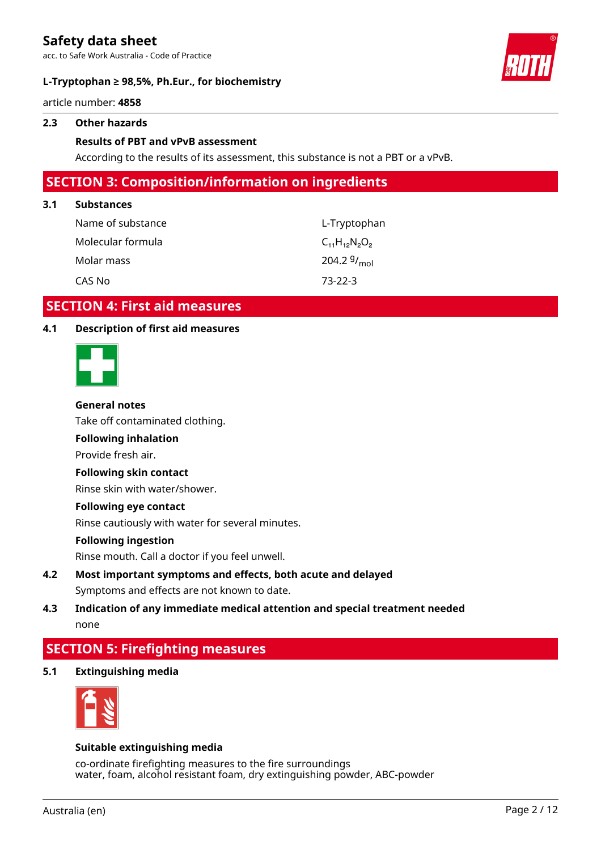acc. to Safe Work Australia - Code of Practice

### **L-Tryptophan ≥ 98,5%, Ph.Eur., for biochemistry**



article number: **4858**

### **2.3 Other hazards**

### **Results of PBT and vPvB assessment**

According to the results of its assessment, this substance is not a PBT or a vPvB.

### **SECTION 3: Composition/information on ingredients**

#### **3.1 Substances**

| Name of substance | L-Tryptophan             |
|-------------------|--------------------------|
| Molecular formula | $C_{11}H_{12}N_{2}O_{2}$ |
| Molar mass        | 204.2 $9/_{\text{mol}}$  |
| CAS No            | $73-22-3$                |

### **SECTION 4: First aid measures**

### **4.1 Description of first aid measures**



#### **General notes**

Take off contaminated clothing.

### **Following inhalation**

Provide fresh air.

### **Following skin contact**

Rinse skin with water/shower.

#### **Following eye contact**

Rinse cautiously with water for several minutes.

#### **Following ingestion**

Rinse mouth. Call a doctor if you feel unwell.

### **4.2 Most important symptoms and effects, both acute and delayed** Symptoms and effects are not known to date.

### **4.3 Indication of any immediate medical attention and special treatment needed** none

### **SECTION 5: Firefighting measures**

**5.1 Extinguishing media**



### **Suitable extinguishing media**

co-ordinate firefighting measures to the fire surroundings water, foam, alcohol resistant foam, dry extinguishing powder, ABC-powder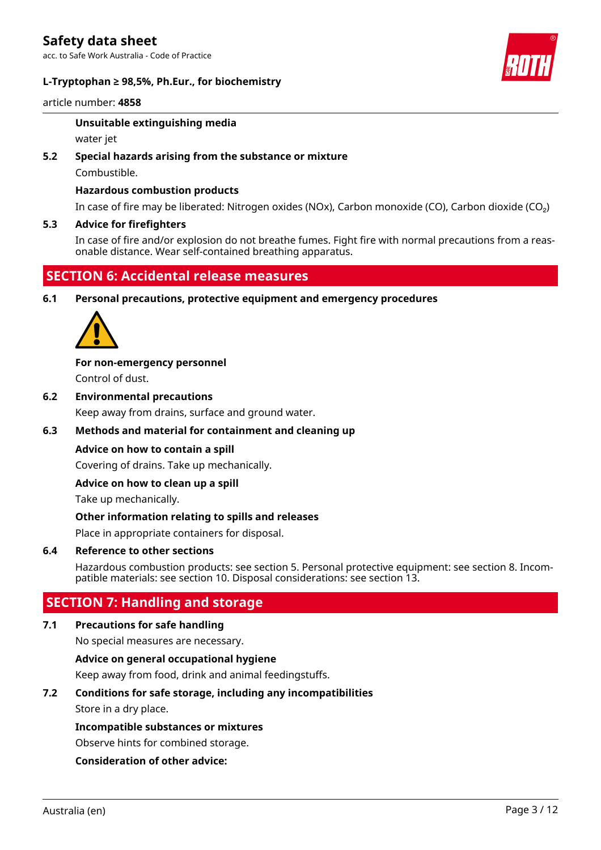

article number: **4858**

### **Unsuitable extinguishing media**

water jet

### **5.2 Special hazards arising from the substance or mixture**

Combustible.

### **Hazardous combustion products**

In case of fire may be liberated: Nitrogen oxides (NOx), Carbon monoxide (CO), Carbon dioxide (CO₂)

### **5.3 Advice for firefighters**

In case of fire and/or explosion do not breathe fumes. Fight fire with normal precautions from a reasonable distance. Wear self-contained breathing apparatus.

### **SECTION 6: Accidental release measures**

**6.1 Personal precautions, protective equipment and emergency procedures**



**For non-emergency personnel** Control of dust.

**6.2 Environmental precautions**

Keep away from drains, surface and ground water.

### **6.3 Methods and material for containment and cleaning up**

### **Advice on how to contain a spill**

Covering of drains. Take up mechanically.

### **Advice on how to clean up a spill**

Take up mechanically.

### **Other information relating to spills and releases**

Place in appropriate containers for disposal.

### **6.4 Reference to other sections**

Hazardous combustion products: see section 5. Personal protective equipment: see section 8. Incompatible materials: see section 10. Disposal considerations: see section 13.

### **SECTION 7: Handling and storage**

### **7.1 Precautions for safe handling**

No special measures are necessary.

### **Advice on general occupational hygiene**

Keep away from food, drink and animal feedingstuffs.

### **7.2 Conditions for safe storage, including any incompatibilities**

Store in a dry place.

### **Incompatible substances or mixtures**

Observe hints for combined storage.

### **Consideration of other advice:**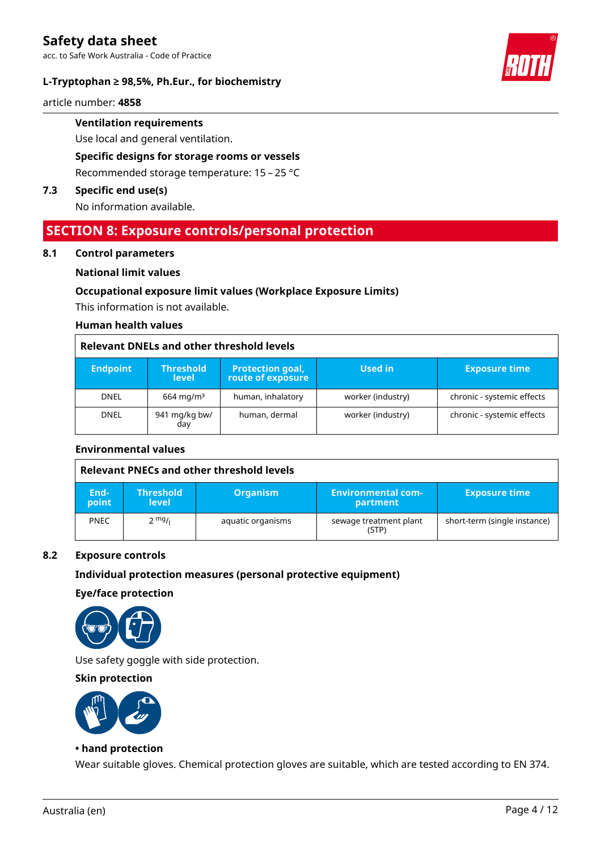

article number: **4858**

# **Ventilation requirements**

Use local and general ventilation.

### **Specific designs for storage rooms or vessels**

Recommended storage temperature: 15 – 25 °C

### **7.3 Specific end use(s)**

No information available.

### **SECTION 8: Exposure controls/personal protection**

#### **8.1 Control parameters**

### **National limit values**

### **Occupational exposure limit values (Workplace Exposure Limits)**

This information is not available.

#### **Human health values**

### **Relevant DNELs and other threshold levels**

| <b>Endpoint</b> | <b>Threshold</b><br><b>level</b> | <b>Protection goal,</b><br>route of exposure | Used in           | <b>Exposure time</b>       |
|-----------------|----------------------------------|----------------------------------------------|-------------------|----------------------------|
| <b>DNEL</b>     | $664 \,\mathrm{mq/m^3}$          | human, inhalatory                            | worker (industry) | chronic - systemic effects |
| <b>DNEL</b>     | 941 mg/kg bw/<br>day             | human, dermal                                | worker (industry) | chronic - systemic effects |

### **Environmental values**

|               | Relevant PNECs and other threshold levels |                   |                                       |                              |
|---------------|-------------------------------------------|-------------------|---------------------------------------|------------------------------|
| End-<br>point | <b>Threshold</b><br>level                 | <b>Organism</b>   | <b>Environmental com-</b><br>partment | <b>Exposure time</b>         |
| <b>PNEC</b>   | $2 \frac{mg}{l}$                          | aquatic organisms | sewage treatment plant<br>(STP)       | short-term (single instance) |

### **8.2 Exposure controls**

### **Individual protection measures (personal protective equipment)**

#### **Eye/face protection**



Use safety goggle with side protection.

### **Skin protection**



### **• hand protection**

Wear suitable gloves. Chemical protection gloves are suitable, which are tested according to EN 374.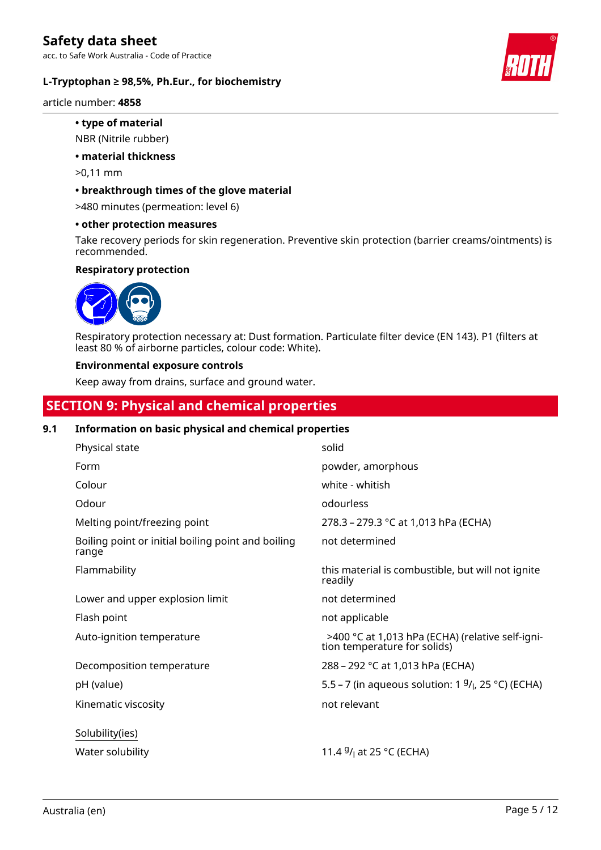

article number: **4858**

## **• type of material**

### NBR (Nitrile rubber)

### **• material thickness**

>0,11 mm

### **• breakthrough times of the glove material**

>480 minutes (permeation: level 6)

### **• other protection measures**

Take recovery periods for skin regeneration. Preventive skin protection (barrier creams/ointments) is recommended.

### **Respiratory protection**



Respiratory protection necessary at: Dust formation. Particulate filter device (EN 143). P1 (filters at least 80 % of airborne particles, colour code: White).

#### **Environmental exposure controls**

Keep away from drains, surface and ground water.

## **SECTION 9: Physical and chemical properties**

### **9.1 Information on basic physical and chemical properties**

| Physical state                                              | solid                                                                            |
|-------------------------------------------------------------|----------------------------------------------------------------------------------|
| Form                                                        | powder, amorphous                                                                |
| Colour                                                      | white - whitish                                                                  |
| Odour                                                       | odourless                                                                        |
| Melting point/freezing point                                | 278.3 – 279.3 °C at 1,013 hPa (ECHA)                                             |
| Boiling point or initial boiling point and boiling<br>range | not determined                                                                   |
| Flammability                                                | this material is combustible, but will not ignite<br>readily                     |
| Lower and upper explosion limit                             | not determined                                                                   |
| Flash point                                                 | not applicable                                                                   |
| Auto-ignition temperature                                   | >400 °C at 1,013 hPa (ECHA) (relative self-igni-<br>tion temperature for solids) |
| Decomposition temperature                                   | 288 – 292 °C at 1,013 hPa (ECHA)                                                 |
| pH (value)                                                  | 5.5 – 7 (in aqueous solution: 1 $9/1$ , 25 °C) (ECHA)                            |
| Kinematic viscosity                                         | not relevant                                                                     |
| Solubility(ies)                                             |                                                                                  |
| Water solubility                                            | 11.4 $9/1$ at 25 °C (ECHA)                                                       |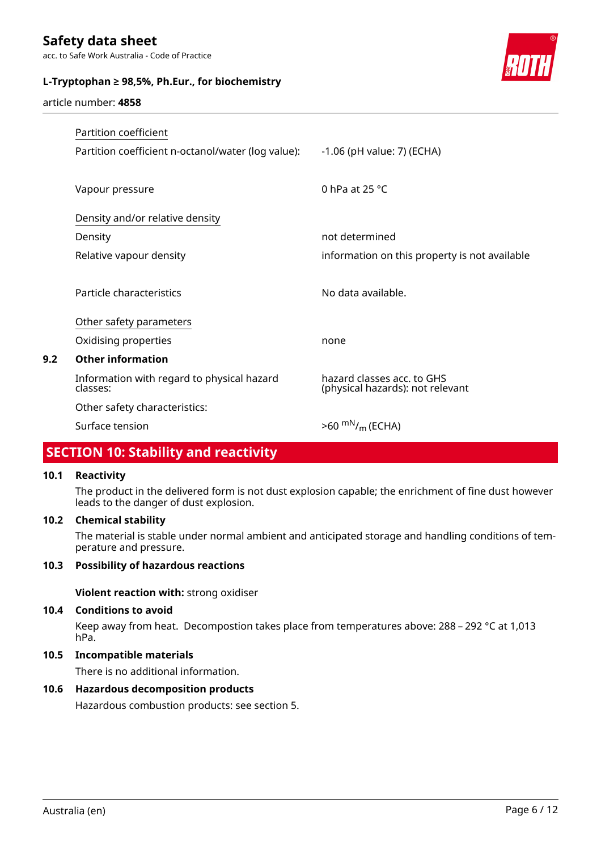acc. to Safe Work Australia - Code of Practice

### **L-Tryptophan ≥ 98,5%, Ph.Eur., for biochemistry**



article number: **4858**

| Partition coefficient                                  |                                                                |
|--------------------------------------------------------|----------------------------------------------------------------|
| Partition coefficient n-octanol/water (log value):     | $-1.06$ (pH value: 7) (ECHA)                                   |
|                                                        |                                                                |
| Vapour pressure                                        | 0 hPa at $25 °C$                                               |
| Density and/or relative density                        |                                                                |
| Density                                                | not determined                                                 |
| Relative vapour density                                | information on this property is not available                  |
|                                                        |                                                                |
| Particle characteristics                               | No data available.                                             |
| Other safety parameters                                |                                                                |
| Oxidising properties                                   | none                                                           |
| <b>Other information</b>                               |                                                                |
| Information with regard to physical hazard<br>classes: | hazard classes acc. to GHS<br>(physical hazards): not relevant |
| Other safety characteristics:                          |                                                                |
| Surface tension                                        | $>60^{mN}/_{m}$ (ECHA)                                         |

# **SECTION 10: Stability and reactivity**

### **10.1 Reactivity**

**9.2 Other information**

The product in the delivered form is not dust explosion capable; the enrichment of fine dust however leads to the danger of dust explosion.

### **10.2 Chemical stability**

The material is stable under normal ambient and anticipated storage and handling conditions of temperature and pressure.

### **10.3 Possibility of hazardous reactions**

**Violent reaction with:** strong oxidiser

### **10.4 Conditions to avoid**

Keep away from heat. Decompostion takes place from temperatures above: 288 – 292 °C at 1,013 hPa.

### **10.5 Incompatible materials**

There is no additional information.

### **10.6 Hazardous decomposition products**

Hazardous combustion products: see section 5.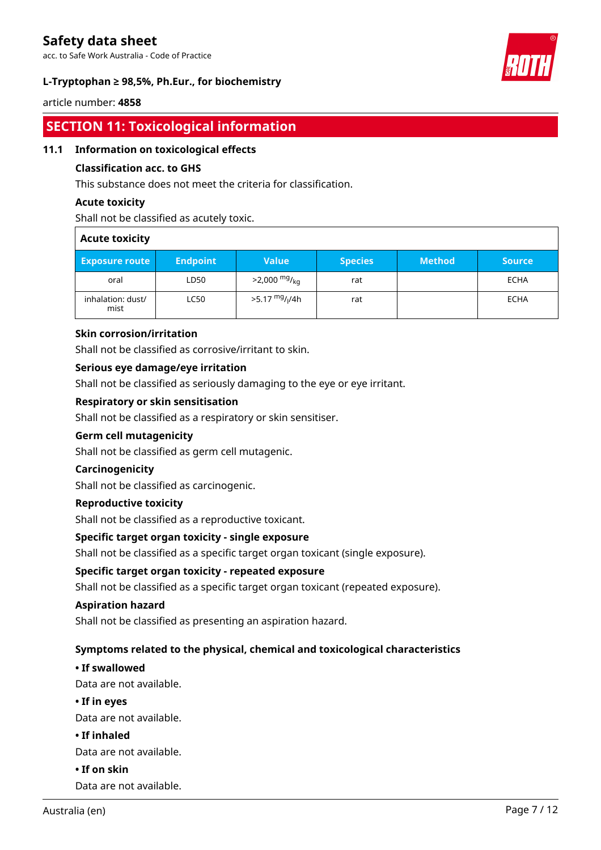acc. to Safe Work Australia - Code of Practice

### **L-Tryptophan ≥ 98,5%, Ph.Eur., for biochemistry**



### article number: **4858**

# **SECTION 11: Toxicological information**

### **11.1 Information on toxicological effects**

### **Classification acc. to GHS**

This substance does not meet the criteria for classification.

### **Acute toxicity**

Shall not be classified as acutely toxic.

| <b>Acute toxicity</b>     |                 |                                        |                |               |               |
|---------------------------|-----------------|----------------------------------------|----------------|---------------|---------------|
| <b>Exposure route</b>     | <b>Endpoint</b> | <b>Value</b>                           | <b>Species</b> | <b>Method</b> | <b>Source</b> |
| oral                      | LD50            | $>2,000$ mg/ <sub>ka</sub>             | rat            |               | <b>ECHA</b>   |
| inhalation: dust/<br>mist | <b>LC50</b>     | >5.17 <sup>mg</sup> / <sub>l</sub> /4h | rat            |               | <b>ECHA</b>   |

### **Skin corrosion/irritation**

Shall not be classified as corrosive/irritant to skin.

### **Serious eye damage/eye irritation**

Shall not be classified as seriously damaging to the eye or eye irritant.

### **Respiratory or skin sensitisation**

Shall not be classified as a respiratory or skin sensitiser.

### **Germ cell mutagenicity**

Shall not be classified as germ cell mutagenic.

### **Carcinogenicity**

Shall not be classified as carcinogenic.

### **Reproductive toxicity**

Shall not be classified as a reproductive toxicant.

### **Specific target organ toxicity - single exposure**

Shall not be classified as a specific target organ toxicant (single exposure).

### **Specific target organ toxicity - repeated exposure**

Shall not be classified as a specific target organ toxicant (repeated exposure).

### **Aspiration hazard**

Shall not be classified as presenting an aspiration hazard.

### **Symptoms related to the physical, chemical and toxicological characteristics**

### **• If swallowed**

Data are not available.

**• If in eyes**

Data are not available.

**• If inhaled**

Data are not available.

**• If on skin**

Data are not available.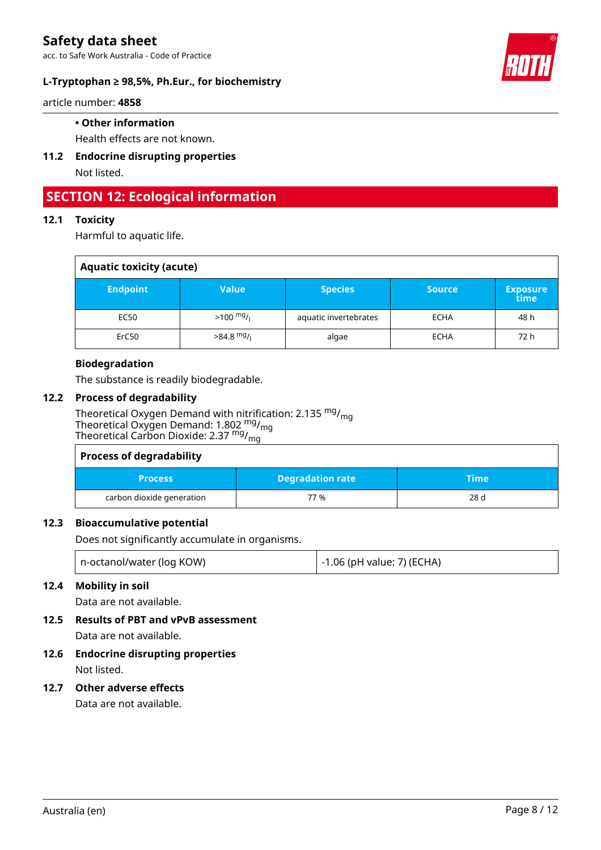

article number: **4858**

### **• Other information**

Health effects are not known.

**11.2 Endocrine disrupting properties** Not listed.

# **SECTION 12: Ecological information**

### **12.1 Toxicity**

Harmful to aquatic life.

| <b>Aquatic toxicity (acute)</b> |                     |                       |               |                   |
|---------------------------------|---------------------|-----------------------|---------------|-------------------|
| <b>Endpoint</b>                 | <b>Value</b>        | <b>Species</b>        | <b>Source</b> | 'Exposure<br>time |
| EC50                            | $>100 \frac{mg}{l}$ | aquatic invertebrates | <b>ECHA</b>   | 48 h              |
| ErC50                           | $>84.8$ mg/         | algae                 | <b>ECHA</b>   | 72 h              |

### **Biodegradation**

The substance is readily biodegradable.

### **12.2 Process of degradability**

Theoretical Oxygen Demand with nitrification: 2.135 <sup>mg</sup>/<sub>mg</sub> Theoretical Oxygen Demand: 1.802  $^{\text{mg}}$ /<sub>mg</sub> Theoretical Carbon Dioxide: 2.37 <sup>mg</sup>/<sub>mg</sub>

| <b>Process of degradability</b> |                         |       |
|---------------------------------|-------------------------|-------|
| <b>Process</b>                  | <b>Degradation rate</b> | \Time |
| carbon dioxide generation       | 77 %                    | 28 d  |

### **12.3 Bioaccumulative potential**

Does not significantly accumulate in organisms.

| n-octanol/water (log KOW) | -1.06 (pH value: 7) (ECHA) |
|---------------------------|----------------------------|
|---------------------------|----------------------------|

### **12.4 Mobility in soil**

Data are not available.

**12.5 Results of PBT and vPvB assessment**

Data are not available.

# **12.6 Endocrine disrupting properties**

Not listed.

### **12.7 Other adverse effects**

Data are not available.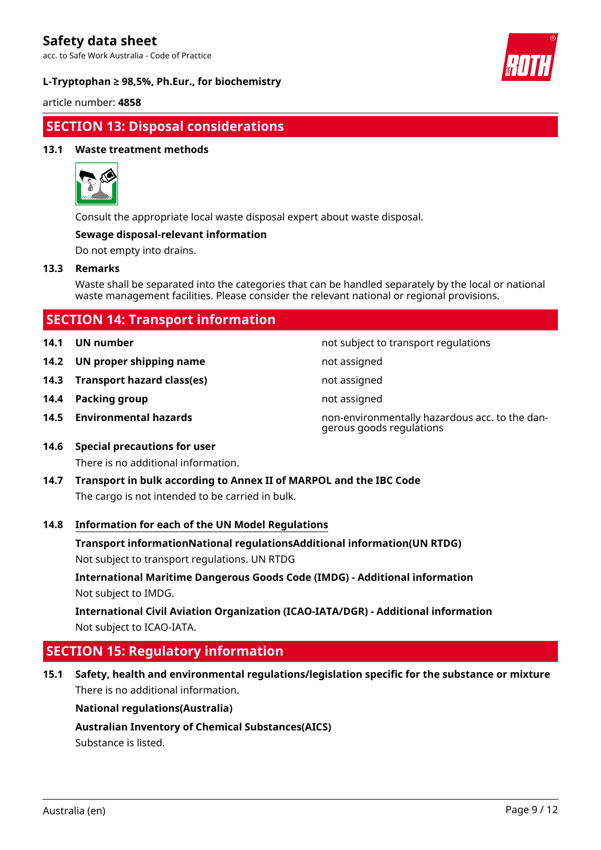acc. to Safe Work Australia - Code of Practice

### **L-Tryptophan ≥ 98,5%, Ph.Eur., for biochemistry**



article number: **4858**

# **SECTION 13: Disposal considerations**

### **13.1 Waste treatment methods**



Consult the appropriate local waste disposal expert about waste disposal.

#### **Sewage disposal-relevant information**

Do not empty into drains.

#### **13.3 Remarks**

Waste shall be separated into the categories that can be handled separately by the local or national waste management facilities. Please consider the relevant national or regional provisions.

| <b>SECTION 14: Transport information</b> |                |                |
|------------------------------------------|----------------|----------------|
|                                          | 14.1 UN number | not subject to |

- **14.2 UN proper shipping name** not assigned
- **14.3 Transport hazard class(es)** not assigned
- **14.4 Packing group not assigned not assigned**
- 

**14.1 UN number** not subject to transport regulations

- 
- 
- 
- **14.5 Environmental hazards** non-environmentally hazardous acc. to the dangerous goods regulations
- **14.6 Special precautions for user** There is no additional information.
- **14.7 Transport in bulk according to Annex II of MARPOL and the IBC Code** The cargo is not intended to be carried in bulk.

### **14.8 Information for each of the UN Model Regulations**

**Transport informationNational regulationsAdditional information(UN RTDG)**

Not subject to transport regulations. UN RTDG

**International Maritime Dangerous Goods Code (IMDG) - Additional information** Not subject to IMDG.

**International Civil Aviation Organization (ICAO-IATA/DGR) - Additional information** Not subject to ICAO-IATA.

# **SECTION 15: Regulatory information**

**15.1 Safety, health and environmental regulations/legislation specific for the substance or mixture** There is no additional information.

### **National regulations(Australia)**

**Australian Inventory of Chemical Substances(AICS)**

Substance is listed.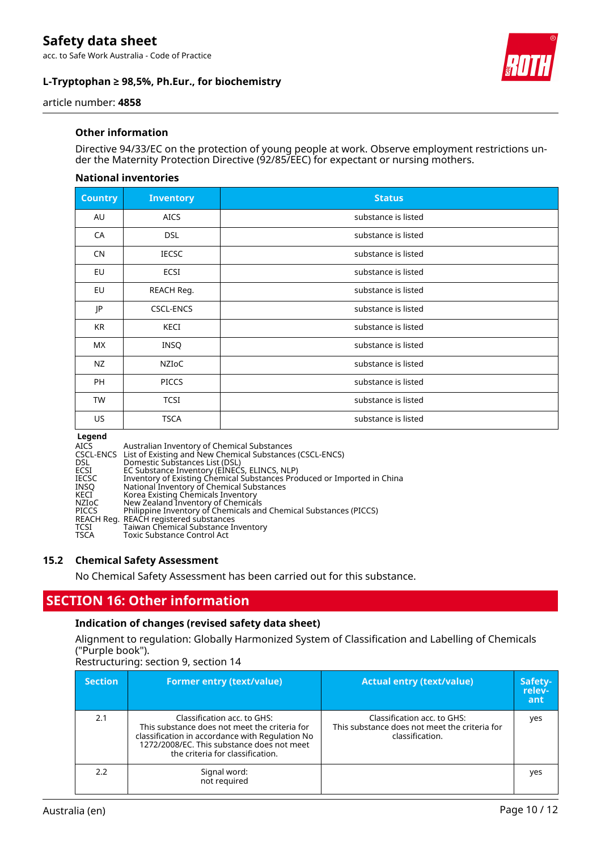acc. to Safe Work Australia - Code of Practice

### **L-Tryptophan ≥ 98,5%, Ph.Eur., for biochemistry**



article number: **4858**

### **Other information**

Directive 94/33/EC on the protection of young people at work. Observe employment restrictions under the Maternity Protection Directive (92/85/EEC) for expectant or nursing mothers.

#### **National inventories**

| <b>Country</b> | <b>Inventory</b> | <b>Status</b>       |
|----------------|------------------|---------------------|
| AU             | <b>AICS</b>      | substance is listed |
| CA             | <b>DSL</b>       | substance is listed |
| CN             | <b>IECSC</b>     | substance is listed |
| EU             | <b>ECSI</b>      | substance is listed |
| EU             | REACH Reg.       | substance is listed |
| JP             | <b>CSCL-ENCS</b> | substance is listed |
| <b>KR</b>      | KECI             | substance is listed |
| MX.            | INSQ             | substance is listed |
| NZ             | NZIOC            | substance is listed |
| PH             | <b>PICCS</b>     | substance is listed |
| TW             | <b>TCSI</b>      | substance is listed |
| US             | <b>TSCA</b>      | substance is listed |

**Legend<br>AICS<br>CSCL-ENCS<br>DSL<br>ECSI<br>IECSC** AICS Australian Inventory of Chemical Substances CSCL-ENCS List of Existing and New Chemical Substances (CSCL-ENCS) DSL Domestic Substances List (DSL) ECSI EC Substance Inventory (EINECS, ELINCS, NLP) IECSC Inventory of Existing Chemical Substances Produced or Imported in China INSQ National Inventory of Chemical Substances KECI Korea Existing Chemicals Inventory NZIoC New Zealand Inventory of Chemicals PICCS Philippine Inventory of Chemicals and Chemical Substances (PICCS) REACH Reg. REACH registered substances TCSI Taiwan Chemical Substance Inventory TSCA Toxic Substance Control Act

### **15.2 Chemical Safety Assessment**

No Chemical Safety Assessment has been carried out for this substance.

### **SECTION 16: Other information**

### **Indication of changes (revised safety data sheet)**

Alignment to regulation: Globally Harmonized System of Classification and Labelling of Chemicals ("Purple book").

Restructuring: section 9, section 14

| <b>Section</b> | <b>Former entry (text/value)</b>                                                                                                                                                                                  | <b>Actual entry (text/value)</b>                                                                | Safety-<br>relev-<br>ant |
|----------------|-------------------------------------------------------------------------------------------------------------------------------------------------------------------------------------------------------------------|-------------------------------------------------------------------------------------------------|--------------------------|
| 2.1            | Classification acc. to GHS:<br>This substance does not meet the criteria for<br>classification in accordance with Regulation No<br>1272/2008/EC. This substance does not meet<br>the criteria for classification. | Classification acc. to GHS:<br>This substance does not meet the criteria for<br>classification. | yes                      |
| 2.2            | Signal word:<br>not required                                                                                                                                                                                      |                                                                                                 | yes                      |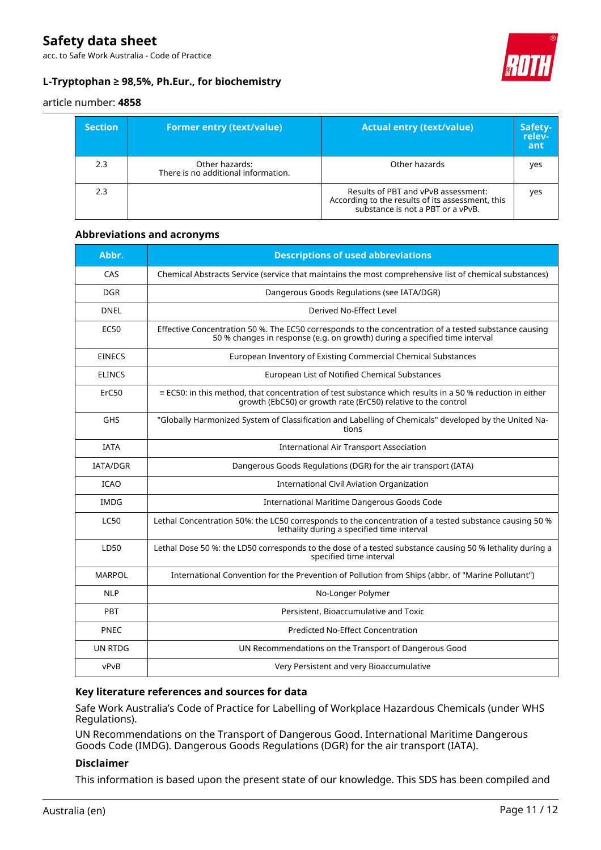acc. to Safe Work Australia - Code of Practice

### **L-Tryptophan ≥ 98,5%, Ph.Eur., for biochemistry**



#### article number: **4858**

| <b>Section</b> | <b>Former entry (text/value)</b>                      | <b>Actual entry (text/value)</b>                                                                                             | Safety-<br>relev-<br>ant |
|----------------|-------------------------------------------------------|------------------------------------------------------------------------------------------------------------------------------|--------------------------|
| 2.3            | Other hazards:<br>There is no additional information. | Other hazards                                                                                                                | yes                      |
| 2.3            |                                                       | Results of PBT and vPvB assessment:<br>According to the results of its assessment, this<br>substance is not a PBT or a vPvB. | yes                      |

#### **Abbreviations and acronyms**

| Abbr.           | <b>Descriptions of used abbreviations</b>                                                                                                                                           |
|-----------------|-------------------------------------------------------------------------------------------------------------------------------------------------------------------------------------|
| CAS             | Chemical Abstracts Service (service that maintains the most comprehensive list of chemical substances)                                                                              |
| DGR.            | Dangerous Goods Regulations (see IATA/DGR)                                                                                                                                          |
| <b>DNEL</b>     | Derived No-Effect Level                                                                                                                                                             |
| <b>EC50</b>     | Effective Concentration 50 %. The EC50 corresponds to the concentration of a tested substance causing<br>50 % changes in response (e.g. on growth) during a specified time interval |
| <b>EINECS</b>   | European Inventory of Existing Commercial Chemical Substances                                                                                                                       |
| <b>ELINCS</b>   | European List of Notified Chemical Substances                                                                                                                                       |
| ErC50           | $\equiv$ EC50: in this method, that concentration of test substance which results in a 50 % reduction in either<br>growth (EbC50) or growth rate (ErC50) relative to the control    |
| <b>GHS</b>      | "Globally Harmonized System of Classification and Labelling of Chemicals" developed by the United Na-<br>tions                                                                      |
| <b>IATA</b>     | <b>International Air Transport Association</b>                                                                                                                                      |
| <b>IATA/DGR</b> | Dangerous Goods Regulations (DGR) for the air transport (IATA)                                                                                                                      |
| <b>ICAO</b>     | <b>International Civil Aviation Organization</b>                                                                                                                                    |
| <b>IMDG</b>     | International Maritime Dangerous Goods Code                                                                                                                                         |
| <b>LC50</b>     | Lethal Concentration 50%: the LC50 corresponds to the concentration of a tested substance causing 50 %<br>lethality during a specified time interval                                |
| LD50            | Lethal Dose 50 %: the LD50 corresponds to the dose of a tested substance causing 50 % lethality during a<br>specified time interval                                                 |
| <b>MARPOL</b>   | International Convention for the Prevention of Pollution from Ships (abbr. of "Marine Pollutant")                                                                                   |
| <b>NLP</b>      | No-Longer Polymer                                                                                                                                                                   |
| PBT             | Persistent, Bioaccumulative and Toxic                                                                                                                                               |
| PNEC            | <b>Predicted No-Effect Concentration</b>                                                                                                                                            |
| <b>UN RTDG</b>  | UN Recommendations on the Transport of Dangerous Good                                                                                                                               |
| vPvB            | Very Persistent and very Bioaccumulative                                                                                                                                            |

### **Key literature references and sources for data**

Safe Work Australia's Code of Practice for Labelling of Workplace Hazardous Chemicals (under WHS Regulations).

UN Recommendations on the Transport of Dangerous Good. International Maritime Dangerous Goods Code (IMDG). Dangerous Goods Regulations (DGR) for the air transport (IATA).

### **Disclaimer**

This information is based upon the present state of our knowledge. This SDS has been compiled and